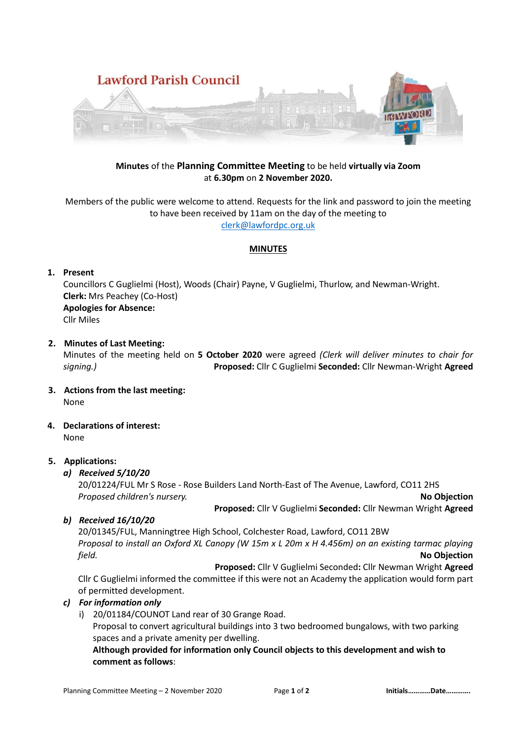

# **Minutes** of the **Planning Committee Meeting** to be held **virtually via Zoom** at **6.30pm** on **2 November 2020.**

Members of the public were welcome to attend. Requests for the link and password to join the meeting to have been received by 11am on the day of the meeting to [clerk@lawfordpc.org.uk](mailto:clerk@lawfordpc.org.uk)

#### **MINUTES**

# **1. Present**

Councillors C Guglielmi (Host), Woods (Chair) Payne, V Guglielmi, Thurlow, and Newman-Wright. **Clerk:** Mrs Peachey (Co-Host) **Apologies for Absence:**  Cllr Miles

### **2. Minutes of Last Meeting:**

Minutes of the meeting held on **5 October 2020** were agreed *(Clerk will deliver minutes to chair for signing.)* **Proposed:** Cllr C Guglielmi **Seconded:** Cllr Newman-Wright **Agreed**

- **3. Actions from the last meeting:** None
- **4. Declarations of interest:** None

#### **5. Applications:**

#### *a) Received 5/10/20*

20/01224/FUL Mr S Rose - Rose Builders Land North-East of The Avenue, Lawford, CO11 2HS *Proposed children's nursery.* **No Objection**

**Proposed:** Cllr V Guglielmi **Seconded:** Cllr Newman Wright **Agreed**

#### *b) Received 16/10/20*

20/01345/FUL, Manningtree High School, Colchester Road, Lawford, CO11 2BW *Proposal to install an Oxford XL Canopy (W 15m x L 20m x H 4.456m) on an existing tarmac playing field.* **No Objection**

**Proposed:** Cllr V Guglielmi Seconded**:** Cllr Newman Wright **Agreed**

Cllr C Guglielmi informed the committee if this were not an Academy the application would form part of permitted development.

# *c) For information only*

i) 20/01184/COUNOT Land rear of 30 Grange Road.

Proposal to convert agricultural buildings into 3 two bedroomed bungalows, with two parking spaces and a private amenity per dwelling.

**Although provided for information only Council objects to this development and wish to comment as follows**: